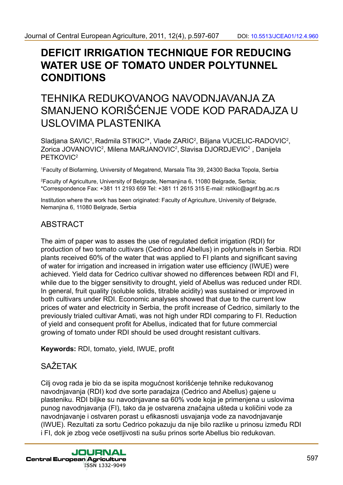# **DEFICIT IRRIGATION TECHNIQUE FOR REDUCING WATER USE OF TOMATO UNDER POLYTUNNEL CONDITIONS**

# TEHNIKA REDUKOVANOG NAVODNJAVANJA ZA SMANJENO KORIŠĆENJE VODE KOD PARADAJZA U USLOVIMA PLASTENIKA

Sladjana SAVIC<sup>1</sup>, Radmila STIKIC<sup>2\*</sup>, Vlade ZARIC<sup>2</sup>, Biljana VUCELIC-RADOVIC<sup>2</sup>, Zorica JOVANOVIC<sup>2</sup>, Milena MARJANOVIC<sup>2</sup>, Slavisa DJORDJEVIC<sup>2</sup>, Danijela PFTKOVIC<sup>2</sup>

1 Faculty of Biofarming, University of Megatrend, Marsala Tita 39, 24300 Backa Topola, Serbia

2 Faculty of Agriculture, University of Belgrade, Nemanjina 6, 11080 Belgrade, Serbia; \*Correspondence Fax: +381 11 2193 659 Tel: +381 11 2615 315 E-mail: rstikic@agrif.bg.ac.rs

Institution where the work has been originated: Faculty of Agriculture, University of Belgrade, Nemanjina 6, 11080 Belgrade, Serbia

# ABSTRACT

The aim of paper was to asses the use of regulated deficit irrigation (RDI) for production of two tomato cultivars (Cedrico and Abellus) in polytunnels in Serbia. RDI plants received 60% of the water that was applied to FI plants and significant saving of water for irrigation and increased in irrigation water use efficiency (IWUE) were achieved. Yield data for Cedrico cultivar showed no differences between RDI and FI, while due to the bigger sensitivity to drought, yield of Abellus was reduced under RDI. In general, fruit quality (soluble solids, titrable acidity) was sustained or improved in both cultivars under RDI. Economic analyses showed that due to the current low prices of water and electricity in Serbia, the profit increase of Cedrico, similarly to the previously trialed cultivar Amati, was not high under RDI comparing to FI. Reduction of yield and consequent profit for Abellus, indicated that for future commercial growing of tomato under RDI should be used drought resistant cultivars.

**Keywords:** RDI, tomato, yield, IWUE, profit

# **SAŽETAK**

Cilj ovog rada je bio da se ispita mogućnost korišćenje tehnike redukovanog navodnjavanja (RDI) kod dve sorte paradajza (Cedrico and Abellus) gajene u plasteniku. RDI biljke su navodnjavane sa 60% vode koja je primenjena u uslovima punog navodnjavanja (FI), tako da je ostvarena značajna ušteda u količini vode za navodnjavanje i ostvaren porast u efikasnosti usvajanja vode za navodnjavanje (IWUE). Rezultati za sortu Cedrico pokazuju da nije bilo razlike u prinosu između RDI i FI, dok je zbog veće osetljivosti na sušu prinos sorte Abellus bio redukovan.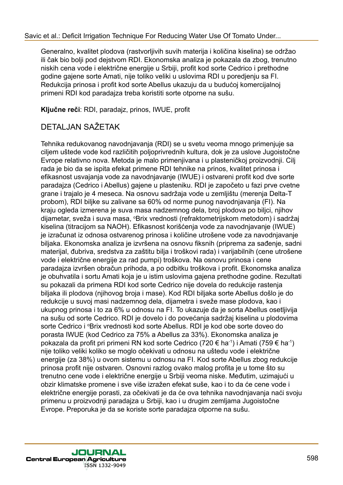Generalno, kvalitet plodova (rastvorljivih suvih materija i količina kiselina) se održao ili čak bio bolji pod dejstvom RDI. Ekonomska analiza je pokazala da zbog, trenutno niskih cena vode i električne energije u Srbiji, profit kod sorte Cedrico i prethodne godine gajene sorte Amati, nije toliko veliki u uslovima RDI u poredjenju sa FI. Redukcija prinosa i profit kod sorte Abellus ukazuju da u budućoj komercijalnoj primeni RDI kod paradajza treba koristiti sorte otporne na sušu.

**Ključne reči**: RDI, paradajz, prinos, IWUE, profit

## DETALJAN SAŽETAK

Tehnika redukovanog navodnjavanja (RDI) se u svetu veoma mnogo primenjuje sa ciljem uštede vode kod različitih poljoprivrednih kultura, dok je za uslove Jugoistočne Evrope relativno nova. Metoda je malo primenjivana i u plasteničkoj proizvodnji. Cilj rada je bio da se ispita efekat primene RDI tehnike na prinos, kvalitet prinosa i efikasnost usvajanja vode za navodnjavanje (IWUE) i ostvareni profit kod dve sorte paradajza (Cedrico i Abellus) gajene u plasteniku. RDI je započeto u fazi prve cvetne grane i trajalo je 4 meseca. Na osnovu sadržaja vode u zemljištu (merenja Delta-T probom), RDI biljke su zalivane sa 60% od norme punog navodnjavanja (FI). Na kraju ogleda izmerena je suva masa nadzemnog dela, broj plodova po biljci, njihov dijametar, sveža i suva masa, °Brix vrednosti (refraktometrijskom metodom) i sadržaj kiselina (titracijom sa NAOH). Efikasnost korišćenja vode za navodnjavanje (IWUE) je izračunat iz odnosa ostvarenog prinosa i količine utrošene vode za navodnjavanje biljaka. Ekonomska analiza je izvršena na osnovu fiksnih (priprema za sađenje, sadni materijal, đubriva, sredstva za zaštitu bilja i troškovi rada) i varijabilnih (cene utrošene vode i električne energije za rad pumpi) troškova. Na osnovu prinosa i cene paradajza izvršen obračun prihoda, a po odbitku troškova i profit. Ekonomska analiza je obuhvatila i sortu Amati koja je u istim uslovima gajena prethodne godine. Rezultati su pokazali da primena RDI kod sorte Cedrico nije dovela do redukcije rastenja biljaka ili plodova (njihovog broja i mase). Kod RDI biljaka sorte Abellus došlo je do redukcije u suvoj masi nadzemnog dela, dijametra i sveže mase plodova, kao i ukupnog prinosa i to za 6% u odnosu na FI. To ukazuje da je sorta Abellus osetljivija na sušu od sorte Cedrico. RDI je dovelo i do povećanja sadržaj kiselina u plodovima sorte Cedrico i <sup>o</sup>Brix vrednosti kod sorte Abellus. RDI je kod obe sorte doveo do porasta IWUE (kod Cedrico za 75% a Abellus za 33%). Ekonomska analiza je pokazala da profit pri primeni RN kod sorte Cedrico (720 € ha-1) i Amati (759 € ha-1) nije toliko veliki koliko se moglo očekivati u odnosu na uštedu vode i električne energije (za 38%) u ovom sistemu u odnosu na FI. Kod sorte Abellus zbog redukcije prinosa profit nije ostvaren. Osnovni razlog ovako malog profita je u tome što su trenutno cene vode i električne energije u Srbiji veoma niske. Međutim, uzimajući u obzir klimatske promene i sve više izražen efekat suše, kao i to da će cene vode i električne energije porasti, za očekivati je da će ova tehnika navodnjavanja naći svoju primenu u proizvodnji paradajza u Srbiji, kao i u drugim zemljama Jugoistočne Evrope. Preporuka je da se koriste sorte paradajza otporne na sušu.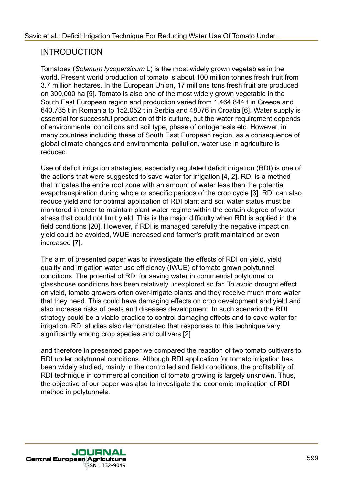### INTRODUCTION

Tomatoes (*Solanum lycopersicum* L) is the most widely grown vegetables in the world. Present world production of tomato is about 100 million tonnes fresh fruit from 3.7 million hectares. In the European Union, 17 millions tons fresh fruit are produced on 300,000 ha [5]. Tomato is also one of the most widely grown vegetable in the South East European region and production varied from 1.464.844 t in Greece and 640.785 t in Romania to 152.052 t in Serbia and 48076 in Croatia [6]. Water supply is essential for successful production of this culture, but the water requirement depends of environmental conditions and soil type, phase of ontogenesis etc. However, in many countries including these of South East European region, as a consequence of global climate changes and environmental pollution, water use in agriculture is reduced.

Use of deficit irrigation strategies, especially regulated deficit irrigation (RDI) is one of the actions that were suggested to save water for irrigation [4, 2]. RDI is a method that irrigates the entire root zone with an amount of water less than the potential evapotranspiration during whole or specific periods of the crop cycle [3]. RDI can also reduce yield and for optimal application of RDI plant and soil water status must be monitored in order to maintain plant water regime within the certain degree of water stress that could not limit yield. This is the major difficulty when RDI is applied in the field conditions [20]. However, if RDI is managed carefully the negative impact on yield could be avoided, WUE increased and farmer's profit maintained or even increased [7].

The aim of presented paper was to investigate the effects of RDI on yield, yield quality and irrigation water use efficiency (IWUE) of tomato grown polytunnel conditions. The potential of RDI for saving water in commercial polytunnel or glasshouse conditions has been relatively unexplored so far. To avoid drought effect on yield, tomato growers often over-irrigate plants and they receive much more water that they need. This could have damaging effects on crop development and yield and also increase risks of pests and diseases development. In such scenario the RDI strategy could be a viable practice to control damaging effects and to save water for irrigation. RDI studies also demonstrated that responses to this technique vary significantly among crop species and cultivars [2]

and therefore in presented paper we compared the reaction of two tomato cultivars to RDI under polytunnel conditions. Although RDI application for tomato irrigation has been widely studied, mainly in the controlled and field conditions, the profitability of RDI technique in commercial condition of tomato growing is largely unknown. Thus, the objective of our paper was also to investigate the economic implication of RDI method in polytunnels.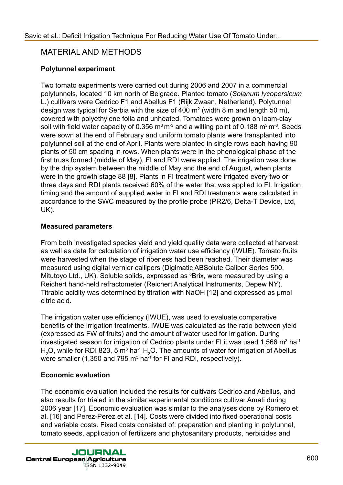### MATERIAL AND METHODS

### **Polytunnel experiment**

Two tomato experiments were carried out during 2006 and 2007 in a commercial polytunnels, located 10 km north of Belgrade. Planted tomato (*Solanum lycopersicum* L.) cultivars were Cedrico F1 and Abellus F1 (Rijk Zwaan, Netherland). Polytunnel design was typical for Serbia with the size of 400  $m^2$  (width 8 m and length 50 m), covered with polyethylene folia and unheated. Tomatoes were grown on loam-clay soil with field water capacity of 0.356  $m<sup>3</sup> m<sup>-3</sup>$  and a wilting point of 0.188  $m<sup>3</sup> m<sup>-3</sup>$ . Seeds were sown at the end of February and uniform tomato plants were transplanted into polytunnel soil at the end of April. Plants were planted in single rows each having 90 plants of 50 cm spacing in rows. When plants were in the phenological phase of the first truss formed (middle of May), FI and RDI were applied. The irrigation was done by the drip system between the middle of May and the end of August, when plants were in the growth stage 88 [8]. Plants in FI treatment were irrigated every two or three days and RDI plants received 60% of the water that was applied to FI. Irrigation timing and the amount of supplied water in FI and RDI treatments were calculated in accordance to the SWC measured by the profile probe (PR2/6, Delta-T Device, Ltd, UK).

#### **Measured parameters**

From both investigated species yield and yield quality data were collected at harvest as well as data for calculation of irrigation water use efficiency (IWUE). Tomato fruits were harvested when the stage of ripeness had been reached. Their diameter was measured using digital vernier callipers (Digimatic ABSolute Caliper Series 500, Mitutoyo Ltd., UK). Soluble solids, expressed as <sup>o</sup>Brix, were measured by using a Reichert hand-held refractometer (Reichert Analytical Instruments, Depew NY). Titrable acidity was determined by titration with NaOH [12] and expressed as µmol citric acid.

The irrigation water use efficiency (IWUE), was used to evaluate comparative benefits of the irrigation treatments. IWUE was calculated as the ratio between yield (expressed as FW of fruits) and the amount of water used for irrigation. During investigated season for irrigation of Cedrico plants under FI it was used 1,566 m<sup>3</sup> ha<sup>-1</sup> H<sub>2</sub>O, while for RDI 823, 5 m<sup>3</sup> ha<sup>-1</sup> H<sub>2</sub>O. The amounts of water for irrigation of Abellus were smaller (1,350 and 795 m $^3$  ha $^{\text{-1}}$  for FI and RDI, respectively).

#### **Economic evaluation**

The economic evaluation included the results for cultivars Cedrico and Abellus, and also results for trialed in the similar experimental conditions cultivar Amati during 2006 year [17]. Economic evaluation was similar to the analyses done by Romero et al. [16] and Perez-Perez et al. [14]. Costs were divided into fixed operational costs and variable costs. Fixed costs consisted of: preparation and planting in polytunnel, tomato seeds, application of fertilizers and phytosanitary products, herbicides and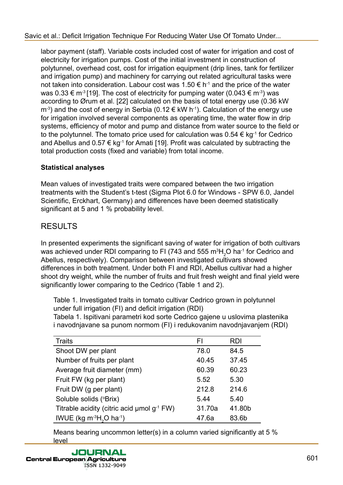labor payment (staff). Variable costs included cost of water for irrigation and cost of electricity for irrigation pumps. Cost of the initial investment in construction of polytunnel, overhead cost, cost for irrigation equipment (drip lines, tank for fertilizer and irrigation pump) and machinery for carrying out related agricultural tasks were not taken into consideration. Labour cost was 1.50  $\epsilon$  h<sup>-1</sup> and the price of the water was  $0.33 \in \text{m}^3[19]$ . The cost of electricity for pumping water (0.043  $\in \text{m}^3$ ) was according to Ørum et al. [22] calculated on the basis of total energy use (0.36 kW  $\text{m}^3$ ) and the cost of energy in Serbia (0.12  $\in$  kW h<sup>-1</sup>). Calculation of the energy use for irrigation involved several components as operating time, the water flow in drip systems, efficiency of motor and pump and distance from water source to the field or to the polytunnel. The tomato price used for calculation was  $0.54 \in kg^{-1}$  for Cedrico and Abellus and  $0.57 \in \text{kg}^{-1}$  for Amati [19]. Profit was calculated by subtracting the total production costs (fixed and variable) from total income.

### **Statistical analyses**

Mean values of investigated traits were compared between the two irrigation treatments with the Student's t-test (Sigma Plot 6.0 for Windows - SPW 6.0, Jandel Scientific, Erckhart, Germany) and differences have been deemed statistically significant at 5 and 1 % probability level.

# RESULTS

In presented experiments the significant saving of water for irrigation of both cultivars was achieved under RDI comparing to FI (743 and 555 m $^3\mathsf{H}_2\mathsf{O}$  ha $^4$  for Cedrico and Abellus, respectively). Comparison between investigated cultivars showed differences in both treatment. Under both FI and RDI, Abellus cultivar had a higher shoot dry weight, while the number of fruits and fruit fresh weight and final yield were significantly lower comparing to the Cedrico (Table 1 and 2).

Table 1. Investigated traits in tomato cultivar Cedrico grown in polytunnel under full irrigation (FI) and deficit irrigation (RDI)

Tabela 1. Ispitivani parametri kod sorte Cedrico gajene u uslovima plastenika i navodnjavane sa punom normom (FI) i redukovanim navodnjavanjem (RDI)

| <b>Traits</b>                              | FI     | <b>RDI</b> |
|--------------------------------------------|--------|------------|
| Shoot DW per plant                         | 78.0   | 84.5       |
| Number of fruits per plant                 | 40.45  | 37.45      |
| Average fruit diameter (mm)                | 60.39  | 60.23      |
| Fruit FW (kg per plant)                    | 5.52   | 5.30       |
| Fruit DW (g per plant)                     | 212.8  | 214.6      |
| Soluble solids (°Brix)                     | 5.44   | 5.40       |
| Titrable acidity (citric acid umol g-1 FW) | 31.70a | 41.80b     |
| IWUE (kg $m^{-3}H_2O$ ha <sup>-1</sup> )   | 47.6a  | 83.6b      |

Means bearing uncommon letter(s) in a column varied significantly at 5 % level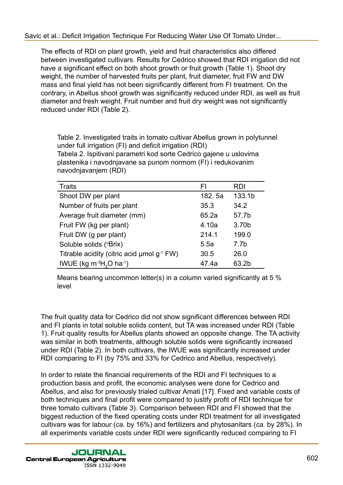The effects of RDI on plant growth, yield and fruit characteristics also differed between investigated cultivars. Results for Cedrico showed that RDI irrigation did not have a significant effect on both shoot growth or fruit growth (Table 1). Shoot dry weight, the number of harvested fruits per plant, fruit diameter, fruit FW and DW mass and final yield has not been significantly different from FI treatment. On the contrary, in Abellus shoot growth was significantly reduced under RDI, as well as fruit diameter and fresh weight. Fruit number and fruit dry weight was not significantly reduced under RDI (Table 2).

Table 2. Investigated traits in tomato cultivar Abellus grown in polytunnel under full irrigation (FI) and deficit irrigation (RDI) Tabela 2. Ispitivani parametri kod sorte Cedrico gajene u uslovima plastenika i navodnjavane sa punom normom (FI) i redukovanim navodnjavanjem (RDI)

| <b>Traits</b>                                        | FI      | <b>RDI</b> |
|------------------------------------------------------|---------|------------|
| Shoot DW per plant                                   | 182. 5a | 133.1b     |
| Number of fruits per plant                           | 35.3    | 34.2       |
| Average fruit diameter (mm)                          | 65.2a   | 57.7b      |
| Fruit FW (kg per plant)                              | 4.10a   | 3.70b      |
| Fruit DW (g per plant)                               | 214.1   | 199.0      |
| Soluble solids (°Brix)                               | 5.5a    | 7.7b       |
| Titrable acidity (citric acid $\mu$ mol $g^{-1}$ FW) | 30.5    | 26.0       |
| IWUE (kg $m^{-3}H2O$ ha <sup>-1</sup> )              | 47.4a   | 63.2b      |

Means bearing uncommon letter(s) in a column varied significantly at 5 % level

The fruit quality data for Cedrico did not show significant differences between RDI and FI plants in total soluble solids content, but TA was increased under RDI (Table 1). Fruit quality results for Abellus plants showed an opposite change. The TA activity was similar in both treatments, although soluble solids were significantly increased under RDI (Table 2). In both cultivars, the IWUE was significantly increased under RDI comparing to FI (by 75% and 33% for Cedrico and Abellus, respectively).

In order to relate the financial requirements of the RDI and FI techniques to a production basis and profit, the economic analyses were done for Cedrico and Abellus, and also for previously trialed cultivar Amati [17]. Fixed and variable costs of both techniques and final profit were compared to justify profit of RDI technique for three tomato cultivars (Table 3). Comparison between RDI and FI showed that the biggest reduction of the fixed operating costs under RDI treatment for all investigated cultivars was for labour (*ca.* by 16%) and fertilizers and phytosanitars (*ca.* by 28%). In all experiments variable costs under RDI were significantly reduced comparing to FI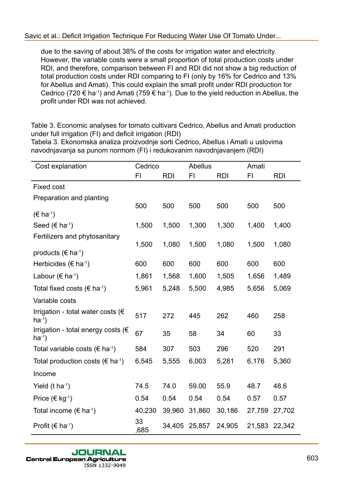due to the saving of about 38% of the costs for irrigation water and electricity. However, the variable costs were a small proportion of total production costs under RDI, and therefore, comparison between FI and RDI did not show a big reduction of total production costs under RDI comparing to FI (only by 16% for Cedrico and 13% for Abellus and Amati). This could explain the small profit under RDI production for Cedrico (720  $\epsilon$  ha<sup>-1</sup>) and Amati (759  $\epsilon$  ha<sup>-1</sup>). Due to the yield reduction in Abellus, the profit under RDI was not achieved.

Table 3. Economic analyses for tomato cultivars Cedrico, Abellus and Amati production under full irrigation (FI) and deficit irrigation (RDI)

Tabela 3. Ekonomska analiza proizvodnje sorti Cedrico, Abellus i Amati u uslovima navodnjavanja sa punom normom (FI) i redukovanim navodnjavanjem (RDI)

| Cost explanation                                            | Cedrico    |            | Abellus |            | Amati  |            |
|-------------------------------------------------------------|------------|------------|---------|------------|--------|------------|
|                                                             | F1         | <b>RDI</b> | FI      | <b>RDI</b> | F1     | <b>RDI</b> |
| <b>Fixed cost</b>                                           |            |            |         |            |        |            |
| Preparation and planting                                    |            |            |         |            |        |            |
| $(E \text{ ha}^{-1})$                                       | 500        | 500        | 500     | 500        | 500    | 500        |
| Seed ( $\in$ ha <sup>-1</sup> )                             | 1,500      | 1,500      | 1,300   | 1,300      | 1,400  | 1,400      |
| Fertilizers and phytosanitary                               | 1,500      | 1,080      | 1,500   | 1,080      | 1,500  | 1,080      |
| products ( $\in$ ha <sup>-1</sup> )                         |            |            |         |            |        |            |
| Herbicides ( $\epsilon$ ha <sup>-1</sup> )                  | 600        | 600        | 600     | 600        | 600    | 600        |
| Labour ( $\in$ ha <sup>-1</sup> )                           | 1,861      | 1,568      | 1,600   | 1,505      | 1,656  | 1,489      |
| Total fixed costs ( $\in$ ha <sup>-1</sup> )                | 5,961      | 5,248      | 5,500   | 4,985      | 5,656  | 5,069      |
| Variable costs                                              |            |            |         |            |        |            |
| Irrigation - total water costs ( $\epsilon$<br>$ha^{-1}$ )  | 517        | 272        | 445     | 262        | 460    | 258        |
| Irrigation - total energy costs ( $\epsilon$<br>$ha^{-1}$ ) | 67         | 35         | 58      | 34         | 60     | 33         |
| Total variable costs ( $\epsilon$ ha <sup>-1</sup> )        | 584        | 307        | 503     | 296        | 520    | 291        |
| Total production costs ( $\epsilon$ ha <sup>-1</sup> )      | 6,545      | 5,555      | 6,003   | 5,281      | 6,176  | 5,360      |
| Income                                                      |            |            |         |            |        |            |
| Yield $(t \text{ ha}^{-1})$                                 | 74.5       | 74.0       | 59.00   | 55.9       | 48.7   | 48.6       |
| Price ( $\in$ kg <sup>-1</sup> )                            | 0.54       | 0.54       | 0.54    | 0.54       | 0.57   | 0.57       |
| Total income ( $\in$ ha <sup>-1</sup> )                     | 40,230     | 39,960     | 31,860  | 30,186     | 27,759 | 27,702     |
| Profit ( $\in$ ha <sup>-1</sup> )                           | 33<br>,685 | 34,405     | 25,857  | 24,905     | 21,583 | 22,342     |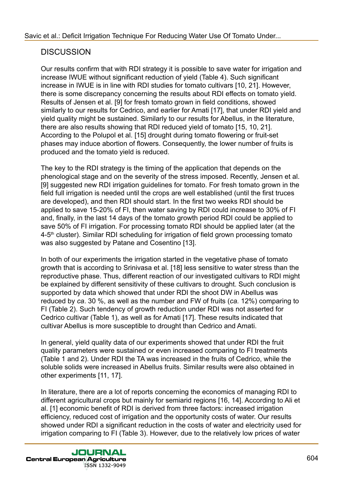## **DISCUSSION**

Our results confirm that with RDI strategy it is possible to save water for irrigation and increase IWUE without significant reduction of yield (Table 4). Such significant increase in IWUE is in line with RDI studies for tomato cultivars [10, 21]. However, there is some discrepancy concerning the results about RDI effects on tomato yield. Results of Jensen et al. [9] for fresh tomato grown in field conditions, showed similarly to our results for Cedrico, and earlier for Amati [17], that under RDI yield and yield quality might be sustained. Similarly to our results for Abellus, in the literature, there are also results showing that RDI reduced yield of tomato [15, 10, 21]. According to the Polupol et al. [15] drought during tomato flowering or fruit-set phases may induce abortion of flowers. Consequently, the lower number of fruits is produced and the tomato yield is reduced.

The key to the RDI strategy is the timing of the application that depends on the phenological stage and on the severity of the stress imposed. Recently, Jensen et al. [9] suggested new RDI irrigation guidelines for tomato. For fresh tomato grown in the field full irrigation is needed until the crops are well established (until the first truces are developed), and then RDI should start. In the first two weeks RDI should be applied to save 15-20% of FI, then water saving by RDI could increase to 30% of FI and, finally, in the last 14 days of the tomato growth period RDI could be applied to save 50% of FI irrigation. For processing tomato RDI should be applied later (at the 4-5<sup>th</sup> cluster). Similar RDI scheduling for irrigation of field grown processing tomato was also suggested by Patane and Cosentino [13].

In both of our experiments the irrigation started in the vegetative phase of tomato growth that is according to Srinivasa et al. [18] less sensitive to water stress than the reproductive phase. Thus, different reaction of our investigated cultivars to RDI might be explained by different sensitivity of these cultivars to drought. Such conclusion is supported by data which showed that under RDI the shoot DW in Abellus was reduced by *ca*. 30 %, as well as the number and FW of fruits (*ca.* 12%) comparing to FI (Table 2). Such tendency of growth reduction under RDI was not asserted for Cedrico cultivar (Table 1), as well as for Amati [17]. These results indicated that cultivar Abellus is more susceptible to drought than Cedrico and Amati.

In general, yield quality data of our experiments showed that under RDI the fruit quality parameters were sustained or even increased comparing to FI treatments (Table 1 and 2). Under RDI the TA was increased in the fruits of Cedrico, while the soluble solids were increased in Abellus fruits. Similar results were also obtained in other experiments [11, 17].

In literature, there are a lot of reports concerning the economics of managing RDI to different agricultural crops but mainly for semiarid regions [16, 14]. According to Ali et al. [1] economic benefit of RDI is derived from three factors: increased irrigation efficiency, reduced cost of irrigation and the opportunity costs of water. Our results showed under RDI a significant reduction in the costs of water and electricity used for irrigation comparing to FI (Table 3). However, due to the relatively low prices of water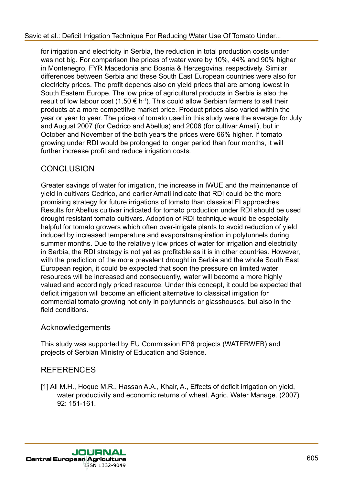#### [Savic et al.: Deficit Irrigation Technique For Reducing Water Use Of Tomato Under...](http://jcea.agr.hr/volumes.php?search=Article%3A960)

for irrigation and electricity in Serbia, the reduction in total production costs under was not big. For comparison the prices of water were by 10%, 44% and 90% higher in Montenegro, FYR Macedonia and Bosnia & Herzegovina, respectively. Similar differences between Serbia and these South East European countries were also for electricity prices. The profit depends also on yield prices that are among lowest in South Eastern Europe. The low price of agricultural products in Serbia is also the result of low labour cost (1.50  $\epsilon$  h<sup>-1</sup>). This could allow Serbian farmers to sell their products at a more competitive market price. Product prices also varied within the year or year to year. The prices of tomato used in this study were the average for July and August 2007 (for Cedrico and Abellus) and 2006 (for cultivar Amati), but in October and November of the both years the prices were 66% higher. If tomato growing under RDI would be prolonged to longer period than four months, it will further increase profit and reduce irrigation costs.

### **CONCLUSION**

Greater savings of water for irrigation, the increase in IWUE and the maintenance of yield in cultivars Cedrico, and earlier Amati indicate that RDI could be the more promising strategy for future irrigations of tomato than classical FI approaches. Results for Abellus cultivar indicated for tomato production under RDI should be used drought resistant tomato cultivars. Adoption of RDI technique would be especially helpful for tomato growers which often over-irrigate plants to avoid reduction of yield induced by increased temperature and evaporatranspiration in polytunnels during summer months. Due to the relatively low prices of water for irrigation and electricity in Serbia, the RDI strategy is not yet as profitable as it is in other countries. However, with the prediction of the more prevalent drought in Serbia and the whole South East European region, it could be expected that soon the pressure on limited water resources will be increased and consequently, water will become a more highly valued and accordingly priced resource. Under this concept, it could be expected that deficit irrigation will become an efficient alternative to classical irrigation for commercial tomato growing not only in polytunnels or glasshouses, but also in the field conditions.

### Acknowledgements

This study was supported by EU Commission FP6 projects (WATERWEB) and projects of Serbian Ministry of Education and Science.

### REFERENCES

[1] Ali M.H., Hoque M.R., Hassan A.A., Khair, A., Effects of deficit irrigation on yield, water productivity and economic returns of wheat. Agric. Water Manage. (2007) 92: 151-161.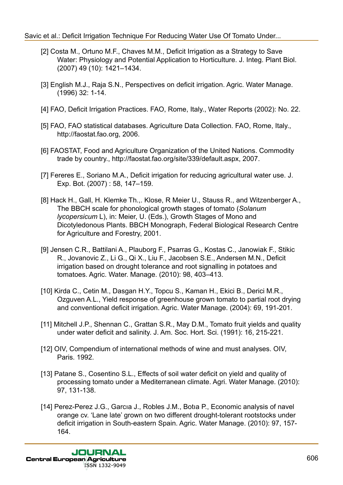#### [Savic et al.: Deficit Irrigation Technique For Reducing Water Use Of Tomato Under...](http://jcea.agr.hr/volumes.php?search=Article%3A960)

- [2] Costa M., Ortuno M.F., Chaves M.M., Deficit Irrigation as a Strategy to Save Water: Physiology and Potential Application to Horticulture. J. Integ. Plant Biol. (2007) 49 (10): 1421–1434.
- [3] English M.J., Raja S.N., Perspectives on deficit irrigation. Agric. Water Manage. (1996) 32: 1-14.
- [4] FAO, Deficit Irrigation Practices. FAO, Rome, Italy., Water Reports (2002): No. 22.
- [5] FAO, FAO statistical databases. Agriculture Data Collection. FAO, Rome, Italy., http://faostat.fao.org, 2006.
- [6] FAOSTAT, Food and Agriculture Organization of the United Nations. Commodity trade by country., http://faostat.fao.org/site/339/default.aspx, 2007.
- [7] Fereres E., Soriano M.A., Deficit irrigation for reducing agricultural water use. J. Exp. Bot. (2007) : 58, 147–159.
- [8] Hack H., Gall, H. Klemke Th.,. Klose, R Meier U., Stauss R., and Witzenberger A., The BBCH scale for phonological growth stages of tomato (*Solanum lycopersicum* L), in: Meier, U. (Eds.), Growth Stages of Mono and Dicotyledonous Plants. BBCH Monograph, Federal Biological Research Centre for Agriculture and Forestry, 2001.
- [9] Jensen C.R., Battilani A., Plauborg F., Psarras G., Kostas C., Janowiak F., Stikic R., Jovanovic Z., Li G., Qi X., Liu F., Jacobsen S.E., Andersen M.N., Deficit irrigation based on drought tolerance and root signalling in potatoes and tomatoes. Agric. Water. Manage. (2010): 98, 403–413.
- [10] Kirda C., Cetin M., Dasgan H.Y., Topcu S., Kaman H., Ekici B., Derici M.R., Ozguven A.L., Yield response of greenhouse grown tomato to partial root drying and conventional deficit irrigation. Agric. Water Manage. (2004): 69, 191-201.
- [11] Mitchell J.P., Shennan C., Grattan S.R., May D.M., Tomato fruit yields and quality under water deficit and salinity. J. Am. Soc. Hort. Sci. (1991): 16, 215-221.
- [12] OIV, Compendium of international methods of wine and must analyses. OIV, Paris. 1992.
- [13] Patane S., Cosentino S.L., Effects of soil water deficit on yield and quality of processing tomato under a Mediterranean climate. Agri. Water Manage. (2010): 97, 131-138.
- [14] Perez-Perez J.G., Garcıa J., Robles J.M., Botıa P., Economic analysis of navel orange cv. 'Lane late' grown on two different drought-tolerant rootstocks under deficit irrigation in South-eastern Spain. Agric. Water Manage. (2010): 97, 157- 164.